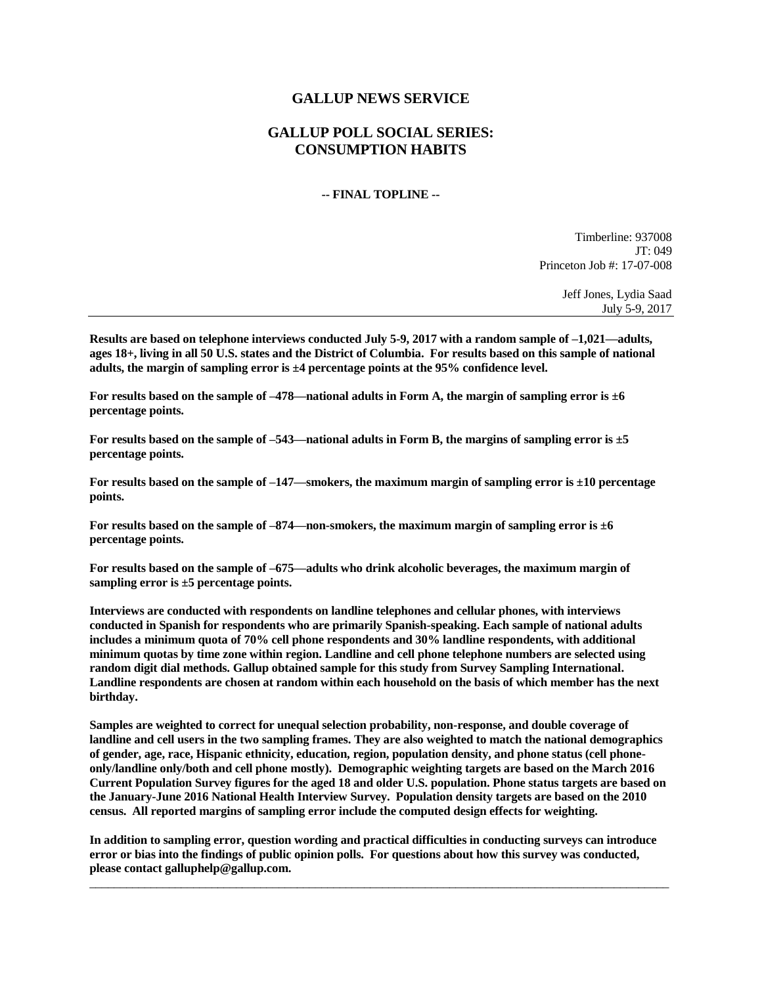## **GALLUP NEWS SERVICE**

## **GALLUP POLL SOCIAL SERIES: CONSUMPTION HABITS**

## **-- FINAL TOPLINE --**

Timberline: 937008 JT: 049 Princeton Job #: 17-07-008

> Jeff Jones, Lydia Saad July 5-9, 2017

**Results are based on telephone interviews conducted July 5-9, 2017 with a random sample of –1,021—adults, ages 18+, living in all 50 U.S. states and the District of Columbia. For results based on this sample of national adults, the margin of sampling error is ±4 percentage points at the 95% confidence level.** 

**For results based on the sample of –478—national adults in Form A, the margin of sampling error is ±6 percentage points.**

**For results based on the sample of –543—national adults in Form B, the margins of sampling error is ±5 percentage points.**

**For results based on the sample of –147—smokers, the maximum margin of sampling error is ±10 percentage points.**

**For results based on the sample of –874—non-smokers, the maximum margin of sampling error is ±6 percentage points.**

**For results based on the sample of –675—adults who drink alcoholic beverages, the maximum margin of sampling error is ±5 percentage points.**

**Interviews are conducted with respondents on landline telephones and cellular phones, with interviews conducted in Spanish for respondents who are primarily Spanish-speaking. Each sample of national adults includes a minimum quota of 70% cell phone respondents and 30% landline respondents, with additional minimum quotas by time zone within region. Landline and cell phone telephone numbers are selected using random digit dial methods. Gallup obtained sample for this study from Survey Sampling International. Landline respondents are chosen at random within each household on the basis of which member has the next birthday.**

**Samples are weighted to correct for unequal selection probability, non-response, and double coverage of landline and cell users in the two sampling frames. They are also weighted to match the national demographics of gender, age, race, Hispanic ethnicity, education, region, population density, and phone status (cell phoneonly/landline only/both and cell phone mostly). Demographic weighting targets are based on the March 2016 Current Population Survey figures for the aged 18 and older U.S. population. Phone status targets are based on the January-June 2016 National Health Interview Survey. Population density targets are based on the 2010 census. All reported margins of sampling error include the computed design effects for weighting.** 

**In addition to sampling error, question wording and practical difficulties in conducting surveys can introduce error or bias into the findings of public opinion polls. For questions about how this survey was conducted, please contact galluphelp@gallup.com.**

 $\_$  ,  $\_$  ,  $\_$  ,  $\_$  ,  $\_$  ,  $\_$  ,  $\_$  ,  $\_$  ,  $\_$  ,  $\_$  ,  $\_$  ,  $\_$  ,  $\_$  ,  $\_$  ,  $\_$  ,  $\_$  ,  $\_$  ,  $\_$  ,  $\_$  ,  $\_$  ,  $\_$  ,  $\_$  ,  $\_$  ,  $\_$  ,  $\_$  ,  $\_$  ,  $\_$  ,  $\_$  ,  $\_$  ,  $\_$  ,  $\_$  ,  $\_$  ,  $\_$  ,  $\_$  ,  $\_$  ,  $\_$  ,  $\_$  ,